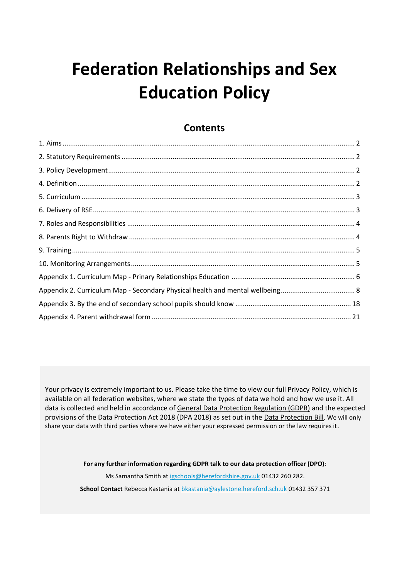# **Federation Relationships and Sex Education Policy**

Your privacy is extremely important to us. Please take the time to view our full Privacy Policy, which is available on all federation websites, where we state the types of data we hold and how we use it. All data is collected and held in accordance o[f General Data Protection Regulation \(GDPR\)](http://data.consilium.europa.eu/doc/document/ST-5419-2016-INIT/en/pdf) and the expected provisions of the Data Protection Act 2018 (DPA 2018) as set out in the [Data Protection Bill.](https://publications.parliament.uk/pa/bills/cbill/2017-2019/0153/18153.pdf) We will only share your data with third parties where we have either your expressed permission or the law requires it.

> **For any further information regarding GDPR talk to our data protection officer (DPO)**: Ms Samantha Smith at [igschools@herefordshire.gov.uk](mailto:igschools@herefordshire.gov.uk) 01432 260 282. **School Contact** Rebecca Kastania at [bkastania@aylestone.hereford.sch.uk](mailto:bkastania@aylestone.hereford.sch.uk) 01432 357 371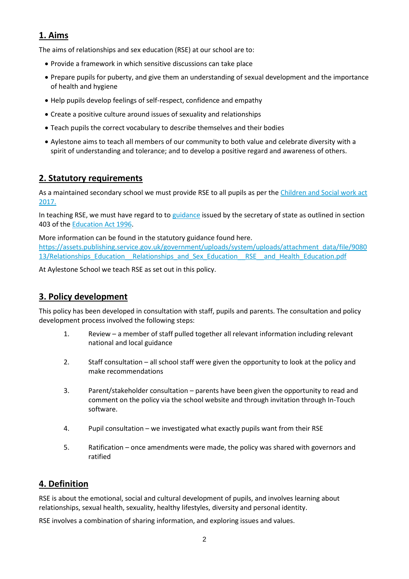# **1. Aims**

The aims of relationships and sex education (RSE) at our school are to:

- Provide a framework in which sensitive discussions can take place
- Prepare pupils for puberty, and give them an understanding of sexual development and the importance of health and hygiene
- Help pupils develop feelings of self-respect, confidence and empathy
- Create a positive culture around issues of sexuality and relationships
- Teach pupils the correct vocabulary to describe themselves and their bodies
- Aylestone aims to teach all members of our community to both value and celebrate diversity with a spirit of understanding and tolerance; and to develop a positive regard and awareness of others.

#### **2. Statutory requirements**

As a maintained secondary school we must provide RSE to all pupils as per the [Children and Social work act](http://www.legislation.gov.uk/ukpga/2017/16/section/34/enacted)  [2017.](http://www.legislation.gov.uk/ukpga/2017/16/section/34/enacted)

In teaching RSE, we must have regard to to [guidance](https://www.gov.uk/government/consultations/relationships-and-sex-education-and-health-education) issued by the secretary of state as outlined in section 403 of the [Education Act 1996.](http://www.legislation.gov.uk/ukpga/1996/56/contents)

More information can be found in the statutory guidance found here. [https://assets.publishing.service.gov.uk/government/uploads/system/uploads/attachment\\_data/file/9080](https://assets.publishing.service.gov.uk/government/uploads/system/uploads/attachment_data/file/908013/Relationships_Education__Relationships_and_Sex_Education__RSE__and_Health_Education.pdf) 13/Relationships Education Relationships and Sex Education RSE and Health Education.pdf

At Aylestone School we teach RSE as set out in this policy.

### **3. Policy development**

This policy has been developed in consultation with staff, pupils and parents. The consultation and policy development process involved the following steps:

- 1. Review a member of staff pulled together all relevant information including relevant national and local guidance
- 2. Staff consultation all school staff were given the opportunity to look at the policy and make recommendations
- 3. Parent/stakeholder consultation parents have been given the opportunity to read and comment on the policy via the school website and through invitation through In-Touch software.
- 4. Pupil consultation we investigated what exactly pupils want from their RSE
- 5. Ratification once amendments were made, the policy was shared with governors and ratified

### **4. Definition**

RSE is about the emotional, social and cultural development of pupils, and involves learning about relationships, sexual health, sexuality, healthy lifestyles, diversity and personal identity.

RSE involves a combination of sharing information, and exploring issues and values.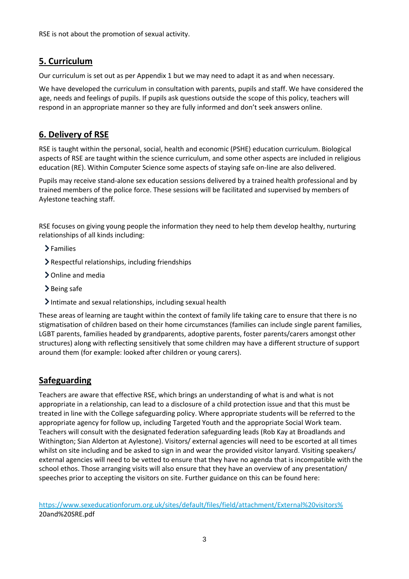RSE is not about the promotion of sexual activity.

# **5. Curriculum**

Our curriculum is set out as per Appendix 1 but we may need to adapt it as and when necessary.

We have developed the curriculum in consultation with parents, pupils and staff. We have considered the age, needs and feelings of pupils. If pupils ask questions outside the scope of this policy, teachers will respond in an appropriate manner so they are fully informed and don't seek answers online.

# **6. Delivery of RSE**

RSE is taught within the personal, social, health and economic (PSHE) education curriculum. Biological aspects of RSE are taught within the science curriculum, and some other aspects are included in religious education (RE). Within Computer Science some aspects of staying safe on-line are also delivered.

Pupils may receive stand-alone sex education sessions delivered by a trained health professional and by trained members of the police force. These sessions will be facilitated and supervised by members of Aylestone teaching staff.

RSE focuses on giving young people the information they need to help them develop healthy, nurturing relationships of all kinds including:

- >Families
- Respectful relationships, including friendships
- > Online and media
- > Being safe
- Intimate and sexual relationships, including sexual health

These areas of learning are taught within the context of family life taking care to ensure that there is no stigmatisation of children based on their home circumstances (families can include single parent families, LGBT parents, families headed by grandparents, adoptive parents, foster parents/carers amongst other structures) along with reflecting sensitively that some children may have a different structure of support around them (for example: looked after children or young carers).

### **Safeguarding**

Teachers are aware that effective RSE, which brings an understanding of what is and what is not appropriate in a relationship, can lead to a disclosure of a child protection issue and that this must be treated in line with the College safeguarding policy. Where appropriate students will be referred to the appropriate agency for follow up, including Targeted Youth and the appropriate Social Work team. Teachers will consult with the designated federation safeguarding leads (Rob Kay at Broadlands and Withington; Sian Alderton at Aylestone). Visitors/ external agencies will need to be escorted at all times whilst on site including and be asked to sign in and wear the provided visitor lanyard. Visiting speakers/ external agencies will need to be vetted to ensure that they have no agenda that is incompatible with the school ethos. Those arranging visits will also ensure that they have an overview of any presentation/ speeches prior to accepting the visitors on site. Further guidance on this can be found here:

[https://www.sexeducationforum.org.uk/sites/default/files/field/attachment/External%20visitors%](https://www.sexeducationforum.org.uk/sites/default/files/field/attachment/External%20visitors%25) 20and%20SRE.pdf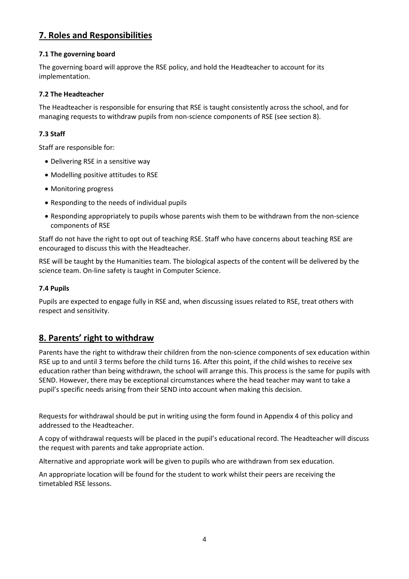# **7. Roles and Responsibilities**

#### **7.1 The governing board**

The governing board will approve the RSE policy, and hold the Headteacher to account for its implementation.

#### **7.2 The Headteacher**

The Headteacher is responsible for ensuring that RSE is taught consistently across the school, and for managing requests to withdraw pupils from non-science components of RSE (see section 8).

#### **7.3 Staff**

Staff are responsible for:

- Delivering RSE in a sensitive way
- Modelling positive attitudes to RSE
- Monitoring progress
- Responding to the needs of individual pupils
- Responding appropriately to pupils whose parents wish them to be withdrawn from the non-science components of RSE

Staff do not have the right to opt out of teaching RSE. Staff who have concerns about teaching RSE are encouraged to discuss this with the Headteacher.

RSE will be taught by the Humanities team. The biological aspects of the content will be delivered by the science team. On-line safety is taught in Computer Science.

#### **7.4 Pupils**

Pupils are expected to engage fully in RSE and, when discussing issues related to RSE, treat others with respect and sensitivity.

### **8. Parents' right to withdraw**

Parents have the right to withdraw their children from the non-science components of sex education within RSE up to and until 3 terms before the child turns 16. After this point, if the child wishes to receive sex education rather than being withdrawn, the school will arrange this. This process is the same for pupils with SEND. However, there may be exceptional circumstances where the head teacher may want to take a pupil's specific needs arising from their SEND into account when making this decision.

Requests for withdrawal should be put in writing using the form found in Appendix 4 of this policy and addressed to the Headteacher.

A copy of withdrawal requests will be placed in the pupil's educational record. The Headteacher will discuss the request with parents and take appropriate action.

Alternative and appropriate work will be given to pupils who are withdrawn from sex education.

An appropriate location will be found for the student to work whilst their peers are receiving the timetabled RSE lessons.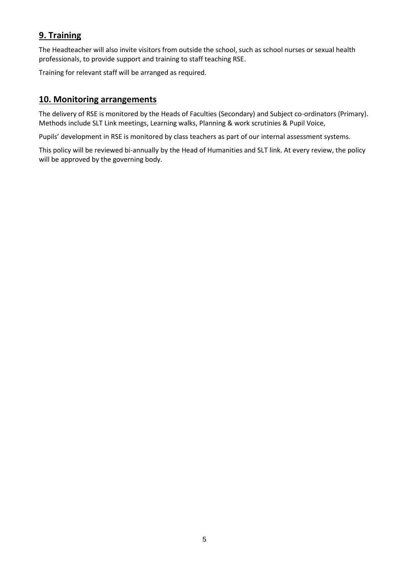# **9. Training**

The Headteacher will also invite visitors from outside the school, such as school nurses or sexual health professionals, to provide support and training to staff teaching RSE.

Training for relevant staff will be arranged as required.

### **10. Monitoring arrangements**

The delivery of RSE is monitored by the Heads of Faculties (Secondary) and Subject co-ordinators (Primary). Methods include SLT Link meetings, Learning walks, Planning & work scrutinies & Pupil Voice,

Pupils' development in RSE is monitored by class teachers as part of our internal assessment systems.

This policy will be reviewed bi-annually by the Head of Humanities and SLT link. At every review, the policy will be approved by the governing body.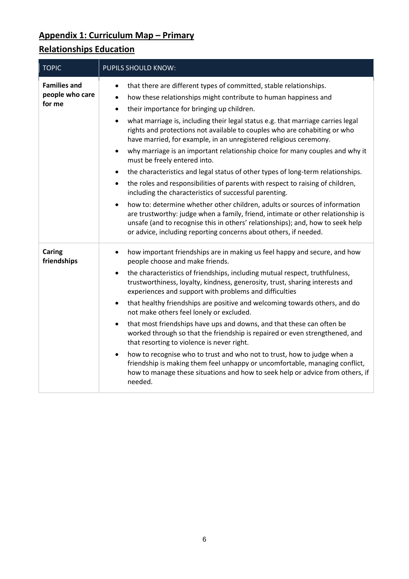# **Appendix 1: Curriculum Map – Primary**

# **Relationships Education**

| <b>TOPIC</b>                                     | PUPILS SHOULD KNOW:                                                                                                                                                                                                                                                                                                                                                                                                                                                                                                                                                                                                                                                                                                                                                                                                                                                                                                                                                                                                                              |
|--------------------------------------------------|--------------------------------------------------------------------------------------------------------------------------------------------------------------------------------------------------------------------------------------------------------------------------------------------------------------------------------------------------------------------------------------------------------------------------------------------------------------------------------------------------------------------------------------------------------------------------------------------------------------------------------------------------------------------------------------------------------------------------------------------------------------------------------------------------------------------------------------------------------------------------------------------------------------------------------------------------------------------------------------------------------------------------------------------------|
| <b>Families and</b><br>people who care<br>for me | that there are different types of committed, stable relationships.<br>$\bullet$<br>how these relationships might contribute to human happiness and<br>$\bullet$<br>their importance for bringing up children.<br>$\bullet$<br>what marriage is, including their legal status e.g. that marriage carries legal<br>$\bullet$<br>rights and protections not available to couples who are cohabiting or who<br>have married, for example, in an unregistered religious ceremony.<br>why marriage is an important relationship choice for many couples and why it<br>$\bullet$<br>must be freely entered into.<br>the characteristics and legal status of other types of long-term relationships.<br>$\bullet$<br>the roles and responsibilities of parents with respect to raising of children,<br>$\bullet$<br>including the characteristics of successful parenting.<br>how to: determine whether other children, adults or sources of information<br>$\bullet$<br>are trustworthy: judge when a family, friend, intimate or other relationship is |
|                                                  | unsafe (and to recognise this in others' relationships); and, how to seek help<br>or advice, including reporting concerns about others, if needed.                                                                                                                                                                                                                                                                                                                                                                                                                                                                                                                                                                                                                                                                                                                                                                                                                                                                                               |
| Caring<br>friendships                            | how important friendships are in making us feel happy and secure, and how<br>٠<br>people choose and make friends.<br>the characteristics of friendships, including mutual respect, truthfulness,<br>$\bullet$<br>trustworthiness, loyalty, kindness, generosity, trust, sharing interests and<br>experiences and support with problems and difficulties<br>that healthy friendships are positive and welcoming towards others, and do<br>$\bullet$<br>not make others feel lonely or excluded.<br>that most friendships have ups and downs, and that these can often be<br>$\bullet$<br>worked through so that the friendship is repaired or even strengthened, and<br>that resorting to violence is never right.<br>how to recognise who to trust and who not to trust, how to judge when a<br>$\bullet$<br>friendship is making them feel unhappy or uncomfortable, managing conflict,<br>how to manage these situations and how to seek help or advice from others, if<br>needed.                                                             |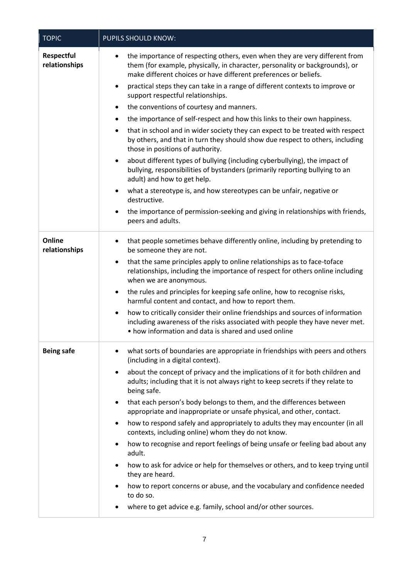| <b>TOPIC</b>                       | PUPILS SHOULD KNOW:                                                                                                                                                                                                                                                                                                                                                                                                                                                                                                                                                                                                                                                                                                                                                                                                                                                                                                                                                                                                                                                                                                                                                              |
|------------------------------------|----------------------------------------------------------------------------------------------------------------------------------------------------------------------------------------------------------------------------------------------------------------------------------------------------------------------------------------------------------------------------------------------------------------------------------------------------------------------------------------------------------------------------------------------------------------------------------------------------------------------------------------------------------------------------------------------------------------------------------------------------------------------------------------------------------------------------------------------------------------------------------------------------------------------------------------------------------------------------------------------------------------------------------------------------------------------------------------------------------------------------------------------------------------------------------|
| <b>Respectful</b><br>relationships | the importance of respecting others, even when they are very different from<br>٠<br>them (for example, physically, in character, personality or backgrounds), or<br>make different choices or have different preferences or beliefs.<br>practical steps they can take in a range of different contexts to improve or<br>$\bullet$<br>support respectful relationships.<br>the conventions of courtesy and manners.<br>$\bullet$<br>the importance of self-respect and how this links to their own happiness.<br>$\bullet$<br>that in school and in wider society they can expect to be treated with respect<br>$\bullet$<br>by others, and that in turn they should show due respect to others, including<br>those in positions of authority.<br>about different types of bullying (including cyberbullying), the impact of<br>$\bullet$<br>bullying, responsibilities of bystanders (primarily reporting bullying to an<br>adult) and how to get help.<br>what a stereotype is, and how stereotypes can be unfair, negative or<br>$\bullet$<br>destructive.<br>the importance of permission-seeking and giving in relationships with friends,<br>$\bullet$<br>peers and adults. |
| Online<br>relationships            | that people sometimes behave differently online, including by pretending to<br>$\bullet$<br>be someone they are not.<br>that the same principles apply to online relationships as to face-toface<br>٠<br>relationships, including the importance of respect for others online including<br>when we are anonymous.<br>the rules and principles for keeping safe online, how to recognise risks,<br>$\bullet$<br>harmful content and contact, and how to report them.<br>how to critically consider their online friendships and sources of information<br>$\bullet$<br>including awareness of the risks associated with people they have never met.<br>• how information and data is shared and used online                                                                                                                                                                                                                                                                                                                                                                                                                                                                       |
| <b>Being safe</b>                  | what sorts of boundaries are appropriate in friendships with peers and others<br>$\bullet$<br>(including in a digital context).<br>about the concept of privacy and the implications of it for both children and<br>٠<br>adults; including that it is not always right to keep secrets if they relate to<br>being safe.<br>that each person's body belongs to them, and the differences between<br>$\bullet$<br>appropriate and inappropriate or unsafe physical, and other, contact.<br>how to respond safely and appropriately to adults they may encounter (in all<br>٠<br>contexts, including online) whom they do not know.<br>how to recognise and report feelings of being unsafe or feeling bad about any<br>٠<br>adult.<br>how to ask for advice or help for themselves or others, and to keep trying until<br>$\bullet$<br>they are heard.<br>how to report concerns or abuse, and the vocabulary and confidence needed<br>٠<br>to do so.<br>where to get advice e.g. family, school and/or other sources.<br>٠                                                                                                                                                        |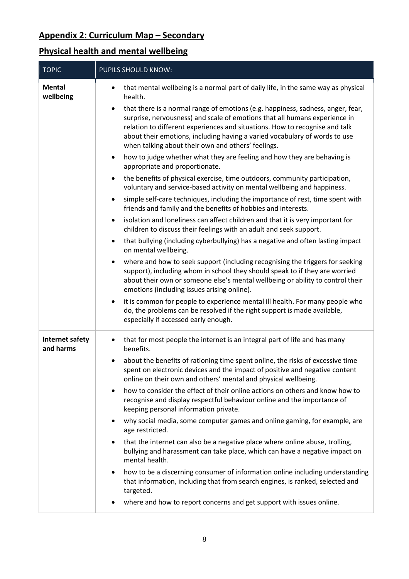# **Appendix 2: Curriculum Map – Secondary**

# **Physical health and mental wellbeing**

| <b>TOPIC</b>                        | <b>PUPILS SHOULD KNOW:</b>                                                                                                                                                                                                                                                                                                                                                       |  |  |  |  |  |
|-------------------------------------|----------------------------------------------------------------------------------------------------------------------------------------------------------------------------------------------------------------------------------------------------------------------------------------------------------------------------------------------------------------------------------|--|--|--|--|--|
| <b>Mental</b><br>wellbeing          | that mental wellbeing is a normal part of daily life, in the same way as physical<br>health.                                                                                                                                                                                                                                                                                     |  |  |  |  |  |
|                                     | that there is a normal range of emotions (e.g. happiness, sadness, anger, fear,<br>surprise, nervousness) and scale of emotions that all humans experience in<br>relation to different experiences and situations. How to recognise and talk<br>about their emotions, including having a varied vocabulary of words to use<br>when talking about their own and others' feelings. |  |  |  |  |  |
|                                     | how to judge whether what they are feeling and how they are behaving is<br>$\bullet$<br>appropriate and proportionate.                                                                                                                                                                                                                                                           |  |  |  |  |  |
|                                     | the benefits of physical exercise, time outdoors, community participation,<br>$\bullet$<br>voluntary and service-based activity on mental wellbeing and happiness.                                                                                                                                                                                                               |  |  |  |  |  |
|                                     | simple self-care techniques, including the importance of rest, time spent with<br>friends and family and the benefits of hobbies and interests.                                                                                                                                                                                                                                  |  |  |  |  |  |
|                                     | isolation and loneliness can affect children and that it is very important for<br>children to discuss their feelings with an adult and seek support.                                                                                                                                                                                                                             |  |  |  |  |  |
|                                     | that bullying (including cyberbullying) has a negative and often lasting impact<br>$\bullet$<br>on mental wellbeing.                                                                                                                                                                                                                                                             |  |  |  |  |  |
|                                     | where and how to seek support (including recognising the triggers for seeking<br>support), including whom in school they should speak to if they are worried<br>about their own or someone else's mental wellbeing or ability to control their<br>emotions (including issues arising online).                                                                                    |  |  |  |  |  |
|                                     | it is common for people to experience mental ill health. For many people who<br>$\bullet$<br>do, the problems can be resolved if the right support is made available,<br>especially if accessed early enough.                                                                                                                                                                    |  |  |  |  |  |
| <b>Internet safety</b><br>and harms | that for most people the internet is an integral part of life and has many<br>benefits.                                                                                                                                                                                                                                                                                          |  |  |  |  |  |
|                                     | about the benefits of rationing time spent online, the risks of excessive time<br>spent on electronic devices and the impact of positive and negative content<br>online on their own and others' mental and physical wellbeing.                                                                                                                                                  |  |  |  |  |  |
|                                     | how to consider the effect of their online actions on others and know how to<br>$\bullet$<br>recognise and display respectful behaviour online and the importance of<br>keeping personal information private.                                                                                                                                                                    |  |  |  |  |  |
|                                     | why social media, some computer games and online gaming, for example, are<br>age restricted.                                                                                                                                                                                                                                                                                     |  |  |  |  |  |
|                                     | that the internet can also be a negative place where online abuse, trolling,<br>bullying and harassment can take place, which can have a negative impact on<br>mental health.                                                                                                                                                                                                    |  |  |  |  |  |
|                                     | how to be a discerning consumer of information online including understanding<br>$\bullet$<br>that information, including that from search engines, is ranked, selected and<br>targeted.                                                                                                                                                                                         |  |  |  |  |  |
|                                     | where and how to report concerns and get support with issues online.                                                                                                                                                                                                                                                                                                             |  |  |  |  |  |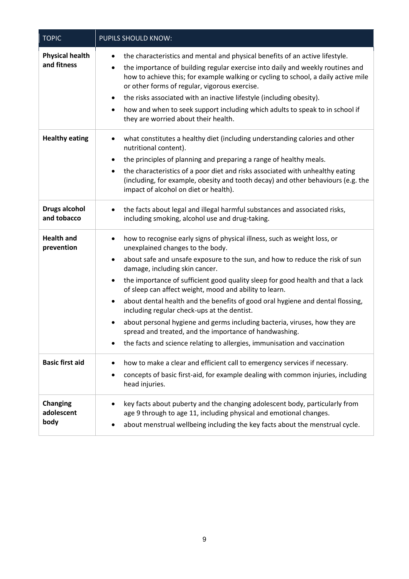| <b>TOPIC</b>                          | PUPILS SHOULD KNOW:                                                                                                                                                                                                                                                                                                                                                                                                                                                                                                                                                                                                                                                                                                                                                                                 |
|---------------------------------------|-----------------------------------------------------------------------------------------------------------------------------------------------------------------------------------------------------------------------------------------------------------------------------------------------------------------------------------------------------------------------------------------------------------------------------------------------------------------------------------------------------------------------------------------------------------------------------------------------------------------------------------------------------------------------------------------------------------------------------------------------------------------------------------------------------|
| <b>Physical health</b><br>and fitness | the characteristics and mental and physical benefits of an active lifestyle.<br>$\bullet$<br>the importance of building regular exercise into daily and weekly routines and<br>$\bullet$<br>how to achieve this; for example walking or cycling to school, a daily active mile<br>or other forms of regular, vigorous exercise.<br>the risks associated with an inactive lifestyle (including obesity).<br>$\bullet$<br>how and when to seek support including which adults to speak to in school if<br>٠<br>they are worried about their health.                                                                                                                                                                                                                                                   |
| <b>Healthy eating</b>                 | what constitutes a healthy diet (including understanding calories and other<br>٠<br>nutritional content).<br>the principles of planning and preparing a range of healthy meals.<br>$\bullet$<br>the characteristics of a poor diet and risks associated with unhealthy eating<br>$\bullet$<br>(including, for example, obesity and tooth decay) and other behaviours (e.g. the<br>impact of alcohol on diet or health).                                                                                                                                                                                                                                                                                                                                                                             |
| <b>Drugs alcohol</b><br>and tobacco   | the facts about legal and illegal harmful substances and associated risks,<br>$\bullet$<br>including smoking, alcohol use and drug-taking.                                                                                                                                                                                                                                                                                                                                                                                                                                                                                                                                                                                                                                                          |
| <b>Health and</b><br>prevention       | how to recognise early signs of physical illness, such as weight loss, or<br>$\bullet$<br>unexplained changes to the body.<br>about safe and unsafe exposure to the sun, and how to reduce the risk of sun<br>$\bullet$<br>damage, including skin cancer.<br>the importance of sufficient good quality sleep for good health and that a lack<br>$\bullet$<br>of sleep can affect weight, mood and ability to learn.<br>about dental health and the benefits of good oral hygiene and dental flossing,<br>$\bullet$<br>including regular check-ups at the dentist.<br>about personal hygiene and germs including bacteria, viruses, how they are<br>$\bullet$<br>spread and treated, and the importance of handwashing.<br>the facts and science relating to allergies, immunisation and vaccination |
| <b>Basic first aid</b>                | how to make a clear and efficient call to emergency services if necessary.<br>$\bullet$<br>concepts of basic first-aid, for example dealing with common injuries, including<br>٠<br>head injuries.                                                                                                                                                                                                                                                                                                                                                                                                                                                                                                                                                                                                  |
| <b>Changing</b><br>adolescent<br>body | key facts about puberty and the changing adolescent body, particularly from<br>$\bullet$<br>age 9 through to age 11, including physical and emotional changes.<br>about menstrual wellbeing including the key facts about the menstrual cycle.                                                                                                                                                                                                                                                                                                                                                                                                                                                                                                                                                      |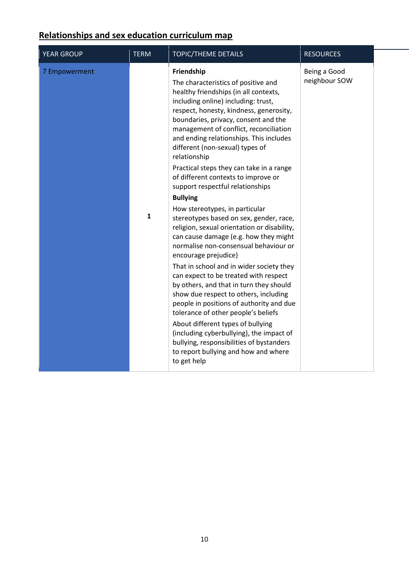# **Relationships and sex education curriculum map**

| <b>YEAR GROUP</b> | <b>TERM</b>  | <b>TOPIC/THEME DETAILS</b>                                                                                                                                                                                                                                                                                                                                   | <b>RESOURCES</b>              |  |
|-------------------|--------------|--------------------------------------------------------------------------------------------------------------------------------------------------------------------------------------------------------------------------------------------------------------------------------------------------------------------------------------------------------------|-------------------------------|--|
| 7 Empowerment     |              | Friendship<br>The characteristics of positive and<br>healthy friendships (in all contexts,<br>including online) including: trust,<br>respect, honesty, kindness, generosity,<br>boundaries, privacy, consent and the<br>management of conflict, reconciliation<br>and ending relationships. This includes<br>different (non-sexual) types of<br>relationship | Being a Good<br>neighbour SOW |  |
|                   |              | Practical steps they can take in a range<br>of different contexts to improve or<br>support respectful relationships                                                                                                                                                                                                                                          |                               |  |
|                   |              | <b>Bullying</b>                                                                                                                                                                                                                                                                                                                                              |                               |  |
|                   | $\mathbf{1}$ | How stereotypes, in particular<br>stereotypes based on sex, gender, race,<br>religion, sexual orientation or disability,<br>can cause damage (e.g. how they might<br>normalise non-consensual behaviour or<br>encourage prejudice)                                                                                                                           |                               |  |
|                   |              | That in school and in wider society they<br>can expect to be treated with respect<br>by others, and that in turn they should<br>show due respect to others, including<br>people in positions of authority and due<br>tolerance of other people's beliefs                                                                                                     |                               |  |
|                   |              | About different types of bullying<br>(including cyberbullying), the impact of<br>bullying, responsibilities of bystanders<br>to report bullying and how and where<br>to get help                                                                                                                                                                             |                               |  |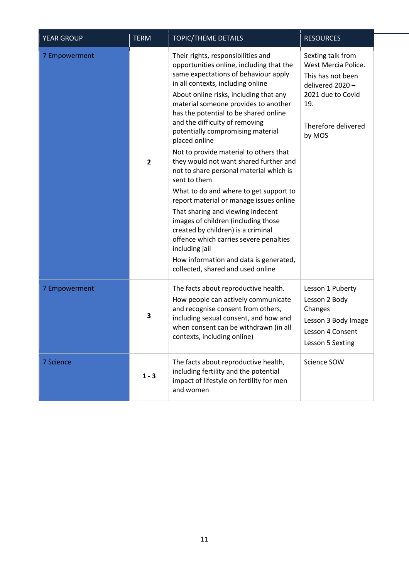| <b>YEAR GROUP</b> | <b>TERM</b>             | <b>TOPIC/THEME DETAILS</b>                                                                                                                                                                                                                                                                                                                                                                                                                                                                                                                                                                                                                                                                                                                                                                                                                                                      | <b>RESOURCES</b>                                                                                                                               |
|-------------------|-------------------------|---------------------------------------------------------------------------------------------------------------------------------------------------------------------------------------------------------------------------------------------------------------------------------------------------------------------------------------------------------------------------------------------------------------------------------------------------------------------------------------------------------------------------------------------------------------------------------------------------------------------------------------------------------------------------------------------------------------------------------------------------------------------------------------------------------------------------------------------------------------------------------|------------------------------------------------------------------------------------------------------------------------------------------------|
| 7 Empowerment     | $\overline{\mathbf{2}}$ | Their rights, responsibilities and<br>opportunities online, including that the<br>same expectations of behaviour apply<br>in all contexts, including online<br>About online risks, including that any<br>material someone provides to another<br>has the potential to be shared online<br>and the difficulty of removing<br>potentially compromising material<br>placed online<br>Not to provide material to others that<br>they would not want shared further and<br>not to share personal material which is<br>sent to them<br>What to do and where to get support to<br>report material or manage issues online<br>That sharing and viewing indecent<br>images of children (including those<br>created by children) is a criminal<br>offence which carries severe penalties<br>including jail<br>How information and data is generated,<br>collected, shared and used online | Sexting talk from<br>West Mercia Police.<br>This has not been<br>delivered 2020 -<br>2021 due to Covid<br>19.<br>Therefore delivered<br>by MOS |
| 7 Empowerment     | 3                       | The facts about reproductive health.<br>How people can actively communicate<br>and recognise consent from others,<br>including sexual consent, and how and<br>when consent can be withdrawn (in all<br>contexts, including online)                                                                                                                                                                                                                                                                                                                                                                                                                                                                                                                                                                                                                                              | Lesson 1 Puberty<br>Lesson 2 Body<br>Changes<br>Lesson 3 Body Image<br>Lesson 4 Consent<br>Lesson 5 Sexting                                    |
| <b>7 Science</b>  | $1 - 3$                 | The facts about reproductive health,<br>including fertility and the potential<br>impact of lifestyle on fertility for men<br>and women                                                                                                                                                                                                                                                                                                                                                                                                                                                                                                                                                                                                                                                                                                                                          | Science SOW                                                                                                                                    |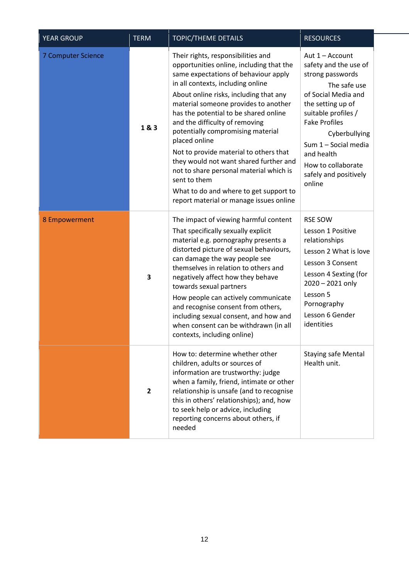| <b>YEAR GROUP</b>         | <b>TERM</b>             | <b>TOPIC/THEME DETAILS</b>                                                                                                                                                                                                                                                                                                                                                                                                                                                                                                                                                                                         | <b>RESOURCES</b>                                                                                                                                                                                                                                                                        |
|---------------------------|-------------------------|--------------------------------------------------------------------------------------------------------------------------------------------------------------------------------------------------------------------------------------------------------------------------------------------------------------------------------------------------------------------------------------------------------------------------------------------------------------------------------------------------------------------------------------------------------------------------------------------------------------------|-----------------------------------------------------------------------------------------------------------------------------------------------------------------------------------------------------------------------------------------------------------------------------------------|
| <b>7 Computer Science</b> | 1&3                     | Their rights, responsibilities and<br>opportunities online, including that the<br>same expectations of behaviour apply<br>in all contexts, including online<br>About online risks, including that any<br>material someone provides to another<br>has the potential to be shared online<br>and the difficulty of removing<br>potentially compromising material<br>placed online<br>Not to provide material to others that<br>they would not want shared further and<br>not to share personal material which is<br>sent to them<br>What to do and where to get support to<br>report material or manage issues online | Aut 1 - Account<br>safety and the use of<br>strong passwords<br>The safe use<br>of Social Media and<br>the setting up of<br>suitable profiles /<br><b>Fake Profiles</b><br>Cyberbullying<br>Sum 1 - Social media<br>and health<br>How to collaborate<br>safely and positively<br>online |
| 8 Empowerment             | 3                       | The impact of viewing harmful content<br>That specifically sexually explicit<br>material e.g. pornography presents a<br>distorted picture of sexual behaviours,<br>can damage the way people see<br>themselves in relation to others and<br>negatively affect how they behave<br>towards sexual partners<br>How people can actively communicate<br>and recognise consent from others,<br>including sexual consent, and how and<br>when consent can be withdrawn (in all<br>contexts, including online)                                                                                                             | <b>RSE SOW</b><br>Lesson 1 Positive<br>relationships<br>Lesson 2 What is love<br>Lesson 3 Consent<br>Lesson 4 Sexting (for<br>2020 - 2021 only<br>Lesson 5<br>Pornography<br>Lesson 6 Gender<br>identities                                                                              |
|                           | $\overline{\mathbf{2}}$ | How to: determine whether other<br>children, adults or sources of<br>information are trustworthy: judge<br>when a family, friend, intimate or other<br>relationship is unsafe (and to recognise<br>this in others' relationships); and, how<br>to seek help or advice, including<br>reporting concerns about others, if<br>needed                                                                                                                                                                                                                                                                                  | <b>Staying safe Mental</b><br>Health unit.                                                                                                                                                                                                                                              |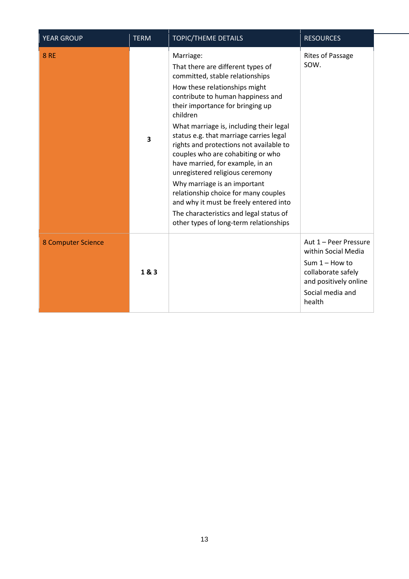| <b>YEAR GROUP</b>  | <b>TERM</b> | <b>TOPIC/THEME DETAILS</b>                                                                                                                                                                                                                                                                                                                                                                                                                                                                                                                                                                                                                                  | <b>RESOURCES</b>                                                                                                                              |
|--------------------|-------------|-------------------------------------------------------------------------------------------------------------------------------------------------------------------------------------------------------------------------------------------------------------------------------------------------------------------------------------------------------------------------------------------------------------------------------------------------------------------------------------------------------------------------------------------------------------------------------------------------------------------------------------------------------------|-----------------------------------------------------------------------------------------------------------------------------------------------|
| <b>8 RE</b>        | 3           | Marriage:<br>That there are different types of<br>committed, stable relationships<br>How these relationships might<br>contribute to human happiness and<br>their importance for bringing up<br>children<br>What marriage is, including their legal<br>status e.g. that marriage carries legal<br>rights and protections not available to<br>couples who are cohabiting or who<br>have married, for example, in an<br>unregistered religious ceremony<br>Why marriage is an important<br>relationship choice for many couples<br>and why it must be freely entered into<br>The characteristics and legal status of<br>other types of long-term relationships | Rites of Passage<br>SOW.                                                                                                                      |
| 8 Computer Science | 1&3         |                                                                                                                                                                                                                                                                                                                                                                                                                                                                                                                                                                                                                                                             | Aut 1 - Peer Pressure<br>within Social Media<br>Sum $1 -$ How to<br>collaborate safely<br>and positively online<br>Social media and<br>health |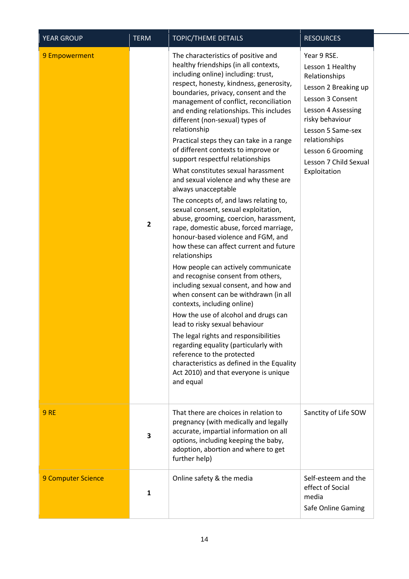| <b>YEAR GROUP</b>  | <b>TERM</b>  | TOPIC/THEME DETAILS                                                                                                                                                                                                                                                                                                                                                                                                                                                                                                                                                                                                                                                                                                                                                                                                                                                                                                                                                                                                                                                                                                                                                                                                                                                                                                                             | <b>RESOURCES</b>                                                                                                                                                                                                                          |
|--------------------|--------------|-------------------------------------------------------------------------------------------------------------------------------------------------------------------------------------------------------------------------------------------------------------------------------------------------------------------------------------------------------------------------------------------------------------------------------------------------------------------------------------------------------------------------------------------------------------------------------------------------------------------------------------------------------------------------------------------------------------------------------------------------------------------------------------------------------------------------------------------------------------------------------------------------------------------------------------------------------------------------------------------------------------------------------------------------------------------------------------------------------------------------------------------------------------------------------------------------------------------------------------------------------------------------------------------------------------------------------------------------|-------------------------------------------------------------------------------------------------------------------------------------------------------------------------------------------------------------------------------------------|
| 9 Empowerment      | $\mathbf{2}$ | The characteristics of positive and<br>healthy friendships (in all contexts,<br>including online) including: trust,<br>respect, honesty, kindness, generosity,<br>boundaries, privacy, consent and the<br>management of conflict, reconciliation<br>and ending relationships. This includes<br>different (non-sexual) types of<br>relationship<br>Practical steps they can take in a range<br>of different contexts to improve or<br>support respectful relationships<br>What constitutes sexual harassment<br>and sexual violence and why these are<br>always unacceptable<br>The concepts of, and laws relating to,<br>sexual consent, sexual exploitation,<br>abuse, grooming, coercion, harassment,<br>rape, domestic abuse, forced marriage,<br>honour-based violence and FGM, and<br>how these can affect current and future<br>relationships<br>How people can actively communicate<br>and recognise consent from others,<br>including sexual consent, and how and<br>when consent can be withdrawn (in all<br>contexts, including online)<br>How the use of alcohol and drugs can<br>lead to risky sexual behaviour<br>The legal rights and responsibilities<br>regarding equality (particularly with<br>reference to the protected<br>characteristics as defined in the Equality<br>Act 2010) and that everyone is unique<br>and equal | Year 9 RSE.<br>Lesson 1 Healthy<br>Relationships<br>Lesson 2 Breaking up<br>Lesson 3 Consent<br>Lesson 4 Assessing<br>risky behaviour<br>Lesson 5 Same-sex<br>relationships<br>Lesson 6 Grooming<br>Lesson 7 Child Sexual<br>Exploitation |
| 9RE                | 3            | That there are choices in relation to<br>pregnancy (with medically and legally<br>accurate, impartial information on all<br>options, including keeping the baby,<br>adoption, abortion and where to get<br>further help)                                                                                                                                                                                                                                                                                                                                                                                                                                                                                                                                                                                                                                                                                                                                                                                                                                                                                                                                                                                                                                                                                                                        | Sanctity of Life SOW                                                                                                                                                                                                                      |
| 9 Computer Science | 1            | Online safety & the media                                                                                                                                                                                                                                                                                                                                                                                                                                                                                                                                                                                                                                                                                                                                                                                                                                                                                                                                                                                                                                                                                                                                                                                                                                                                                                                       | Self-esteem and the<br>effect of Social<br>media<br>Safe Online Gaming                                                                                                                                                                    |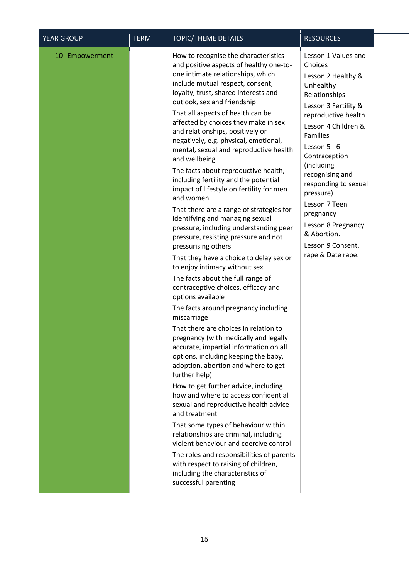| YEAR GROUP     | <b>TERM</b> | TOPIC/THEME DETAILS                                                                                                                                                                                                                                                                                                                                                                                                                                                                                                                                                                                                                                                                                                                                                                                                                                                                                                                                                                                                                                                                                                                                                                                                                                                                                                                                                                                                                                                                                                                                                                                                                                 | <b>RESOURCES</b>                                                                                                                                                                                                                                                                                                                                                                                  |
|----------------|-------------|-----------------------------------------------------------------------------------------------------------------------------------------------------------------------------------------------------------------------------------------------------------------------------------------------------------------------------------------------------------------------------------------------------------------------------------------------------------------------------------------------------------------------------------------------------------------------------------------------------------------------------------------------------------------------------------------------------------------------------------------------------------------------------------------------------------------------------------------------------------------------------------------------------------------------------------------------------------------------------------------------------------------------------------------------------------------------------------------------------------------------------------------------------------------------------------------------------------------------------------------------------------------------------------------------------------------------------------------------------------------------------------------------------------------------------------------------------------------------------------------------------------------------------------------------------------------------------------------------------------------------------------------------------|---------------------------------------------------------------------------------------------------------------------------------------------------------------------------------------------------------------------------------------------------------------------------------------------------------------------------------------------------------------------------------------------------|
| 10 Empowerment |             | How to recognise the characteristics<br>and positive aspects of healthy one-to-<br>one intimate relationships, which<br>include mutual respect, consent,<br>loyalty, trust, shared interests and<br>outlook, sex and friendship<br>That all aspects of health can be<br>affected by choices they make in sex<br>and relationships, positively or<br>negatively, e.g. physical, emotional,<br>mental, sexual and reproductive health<br>and wellbeing<br>The facts about reproductive health,<br>including fertility and the potential<br>impact of lifestyle on fertility for men<br>and women<br>That there are a range of strategies for<br>identifying and managing sexual<br>pressure, including understanding peer<br>pressure, resisting pressure and not<br>pressurising others<br>That they have a choice to delay sex or<br>to enjoy intimacy without sex<br>The facts about the full range of<br>contraceptive choices, efficacy and<br>options available<br>The facts around pregnancy including<br>miscarriage<br>That there are choices in relation to<br>pregnancy (with medically and legally<br>accurate, impartial information on all<br>options, including keeping the baby,<br>adoption, abortion and where to get<br>further help)<br>How to get further advice, including<br>how and where to access confidential<br>sexual and reproductive health advice<br>and treatment<br>That some types of behaviour within<br>relationships are criminal, including<br>violent behaviour and coercive control<br>The roles and responsibilities of parents<br>with respect to raising of children,<br>including the characteristics of | Lesson 1 Values and<br>Choices<br>Lesson 2 Healthy &<br>Unhealthy<br>Relationships<br>Lesson 3 Fertility &<br>reproductive health<br>Lesson 4 Children &<br><b>Families</b><br>Lesson $5 - 6$<br>Contraception<br>(including<br>recognising and<br>responding to sexual<br>pressure)<br>Lesson 7 Teen<br>pregnancy<br>Lesson 8 Pregnancy<br>& Abortion.<br>Lesson 9 Consent,<br>rape & Date rape. |
|                |             | successful parenting                                                                                                                                                                                                                                                                                                                                                                                                                                                                                                                                                                                                                                                                                                                                                                                                                                                                                                                                                                                                                                                                                                                                                                                                                                                                                                                                                                                                                                                                                                                                                                                                                                |                                                                                                                                                                                                                                                                                                                                                                                                   |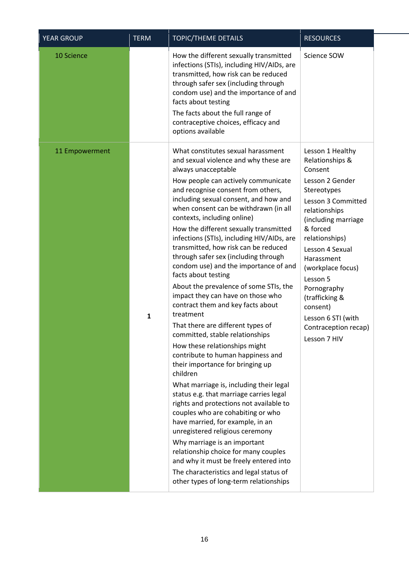| <b>YEAR GROUP</b> | <b>TERM</b> | TOPIC/THEME DETAILS                                                                                                                                                                                                                                                                                                                                                                                                                                                                                                                                                                                                                                                                                                                                                                                                                                                                                                                                                                                                                                                                                                                                                                                                                                                                                                         | <b>RESOURCES</b>                                                                                                                                                                                                                                                                                                                                          |
|-------------------|-------------|-----------------------------------------------------------------------------------------------------------------------------------------------------------------------------------------------------------------------------------------------------------------------------------------------------------------------------------------------------------------------------------------------------------------------------------------------------------------------------------------------------------------------------------------------------------------------------------------------------------------------------------------------------------------------------------------------------------------------------------------------------------------------------------------------------------------------------------------------------------------------------------------------------------------------------------------------------------------------------------------------------------------------------------------------------------------------------------------------------------------------------------------------------------------------------------------------------------------------------------------------------------------------------------------------------------------------------|-----------------------------------------------------------------------------------------------------------------------------------------------------------------------------------------------------------------------------------------------------------------------------------------------------------------------------------------------------------|
| 10 Science        |             | How the different sexually transmitted<br>infections (STIs), including HIV/AIDs, are<br>transmitted, how risk can be reduced<br>through safer sex (including through<br>condom use) and the importance of and<br>facts about testing<br>The facts about the full range of<br>contraceptive choices, efficacy and<br>options available                                                                                                                                                                                                                                                                                                                                                                                                                                                                                                                                                                                                                                                                                                                                                                                                                                                                                                                                                                                       | Science SOW                                                                                                                                                                                                                                                                                                                                               |
| 11 Empowerment    | 1           | What constitutes sexual harassment<br>and sexual violence and why these are<br>always unacceptable<br>How people can actively communicate<br>and recognise consent from others,<br>including sexual consent, and how and<br>when consent can be withdrawn (in all<br>contexts, including online)<br>How the different sexually transmitted<br>infections (STIs), including HIV/AIDs, are<br>transmitted, how risk can be reduced<br>through safer sex (including through<br>condom use) and the importance of and<br>facts about testing<br>About the prevalence of some STIs, the<br>impact they can have on those who<br>contract them and key facts about<br>treatment<br>That there are different types of<br>committed, stable relationships<br>How these relationships might<br>contribute to human happiness and<br>their importance for bringing up<br>children<br>What marriage is, including their legal<br>status e.g. that marriage carries legal<br>rights and protections not available to<br>couples who are cohabiting or who<br>have married, for example, in an<br>unregistered religious ceremony<br>Why marriage is an important<br>relationship choice for many couples<br>and why it must be freely entered into<br>The characteristics and legal status of<br>other types of long-term relationships | Lesson 1 Healthy<br>Relationships &<br>Consent<br>Lesson 2 Gender<br>Stereotypes<br>Lesson 3 Committed<br>relationships<br>(including marriage<br>& forced<br>relationships)<br>Lesson 4 Sexual<br>Harassment<br>(workplace focus)<br>Lesson 5<br>Pornography<br>(trafficking &<br>consent)<br>Lesson 6 STI (with<br>Contraception recap)<br>Lesson 7 HIV |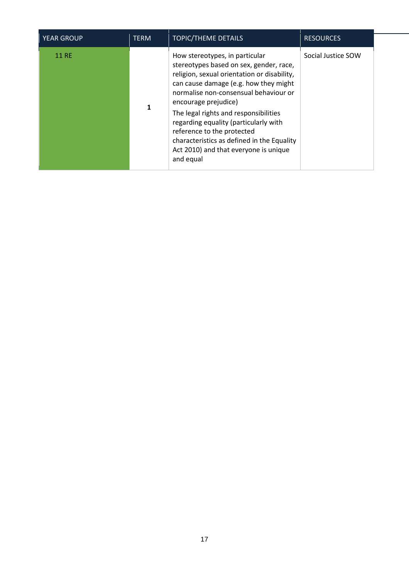| <b>YEAR GROUP</b> | <b>TERM</b> | <b>TOPIC/THEME DETAILS</b>                                                                                                                                                                                                                                                                                                                                                                                                                             | <b>RESOURCES</b>   |
|-------------------|-------------|--------------------------------------------------------------------------------------------------------------------------------------------------------------------------------------------------------------------------------------------------------------------------------------------------------------------------------------------------------------------------------------------------------------------------------------------------------|--------------------|
| <b>11 RE</b>      | 1           | How stereotypes, in particular<br>stereotypes based on sex, gender, race,<br>religion, sexual orientation or disability,<br>can cause damage (e.g. how they might<br>normalise non-consensual behaviour or<br>encourage prejudice)<br>The legal rights and responsibilities<br>regarding equality (particularly with<br>reference to the protected<br>characteristics as defined in the Equality<br>Act 2010) and that everyone is unique<br>and equal | Social Justice SOW |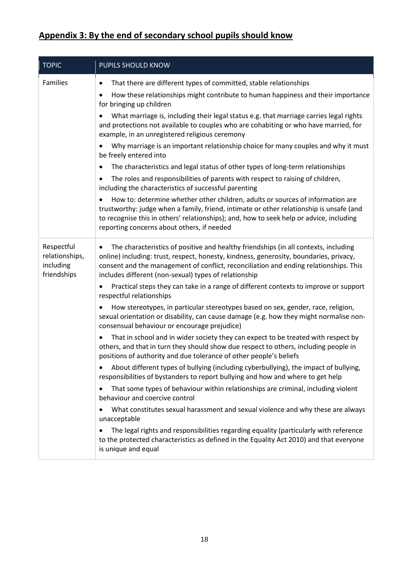# **Appendix 3: By the end of secondary school pupils should know**

| <b>TOPIC</b>                                             | PUPILS SHOULD KNOW                                                                                                                                                                                                                                                                                                                           |
|----------------------------------------------------------|----------------------------------------------------------------------------------------------------------------------------------------------------------------------------------------------------------------------------------------------------------------------------------------------------------------------------------------------|
| Families                                                 | That there are different types of committed, stable relationships<br>٠<br>How these relationships might contribute to human happiness and their importance<br>٠<br>for bringing up children                                                                                                                                                  |
|                                                          | What marriage is, including their legal status e.g. that marriage carries legal rights<br>and protections not available to couples who are cohabiting or who have married, for<br>example, in an unregistered religious ceremony                                                                                                             |
|                                                          | Why marriage is an important relationship choice for many couples and why it must<br>be freely entered into                                                                                                                                                                                                                                  |
|                                                          | The characteristics and legal status of other types of long-term relationships<br>٠                                                                                                                                                                                                                                                          |
|                                                          | The roles and responsibilities of parents with respect to raising of children,<br>$\bullet$<br>including the characteristics of successful parenting                                                                                                                                                                                         |
|                                                          | How to: determine whether other children, adults or sources of information are<br>$\bullet$<br>trustworthy: judge when a family, friend, intimate or other relationship is unsafe (and<br>to recognise this in others' relationships); and, how to seek help or advice, including<br>reporting concerns about others, if needed              |
| Respectful<br>relationships,<br>including<br>friendships | The characteristics of positive and healthy friendships (in all contexts, including<br>$\bullet$<br>online) including: trust, respect, honesty, kindness, generosity, boundaries, privacy,<br>consent and the management of conflict, reconciliation and ending relationships. This<br>includes different (non-sexual) types of relationship |
|                                                          | Practical steps they can take in a range of different contexts to improve or support<br>$\bullet$<br>respectful relationships                                                                                                                                                                                                                |
|                                                          | How stereotypes, in particular stereotypes based on sex, gender, race, religion,<br>$\bullet$<br>sexual orientation or disability, can cause damage (e.g. how they might normalise non-<br>consensual behaviour or encourage prejudice)                                                                                                      |
|                                                          | That in school and in wider society they can expect to be treated with respect by<br>others, and that in turn they should show due respect to others, including people in<br>positions of authority and due tolerance of other people's beliefs                                                                                              |
|                                                          | About different types of bullying (including cyberbullying), the impact of bullying,<br>responsibilities of bystanders to report bullying and how and where to get help                                                                                                                                                                      |
|                                                          | That some types of behaviour within relationships are criminal, including violent<br>behaviour and coercive control                                                                                                                                                                                                                          |
|                                                          | What constitutes sexual harassment and sexual violence and why these are always<br>$\bullet$<br>unacceptable                                                                                                                                                                                                                                 |
|                                                          | The legal rights and responsibilities regarding equality (particularly with reference<br>$\bullet$<br>to the protected characteristics as defined in the Equality Act 2010) and that everyone<br>is unique and equal                                                                                                                         |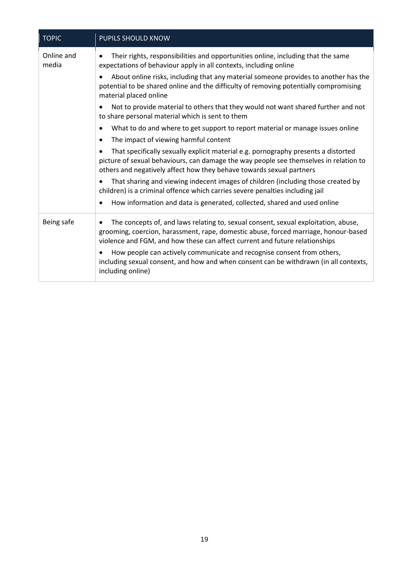| <b>TOPIC</b>        | <b>PUPILS SHOULD KNOW</b>                                                                                                                                                                                                                                |
|---------------------|----------------------------------------------------------------------------------------------------------------------------------------------------------------------------------------------------------------------------------------------------------|
| Online and<br>media | Their rights, responsibilities and opportunities online, including that the same<br>expectations of behaviour apply in all contexts, including online                                                                                                    |
|                     | About online risks, including that any material someone provides to another has the<br>potential to be shared online and the difficulty of removing potentially compromising<br>material placed online                                                   |
|                     | Not to provide material to others that they would not want shared further and not<br>to share personal material which is sent to them                                                                                                                    |
|                     | What to do and where to get support to report material or manage issues online                                                                                                                                                                           |
|                     | The impact of viewing harmful content<br>$\bullet$                                                                                                                                                                                                       |
|                     | That specifically sexually explicit material e.g. pornography presents a distorted<br>picture of sexual behaviours, can damage the way people see themselves in relation to<br>others and negatively affect how they behave towards sexual partners      |
|                     | That sharing and viewing indecent images of children (including those created by<br>children) is a criminal offence which carries severe penalties including jail                                                                                        |
|                     | How information and data is generated, collected, shared and used online                                                                                                                                                                                 |
| Being safe          | The concepts of, and laws relating to, sexual consent, sexual exploitation, abuse,<br>grooming, coercion, harassment, rape, domestic abuse, forced marriage, honour-based<br>violence and FGM, and how these can affect current and future relationships |
|                     | How people can actively communicate and recognise consent from others,<br>including sexual consent, and how and when consent can be withdrawn (in all contexts,<br>including online)                                                                     |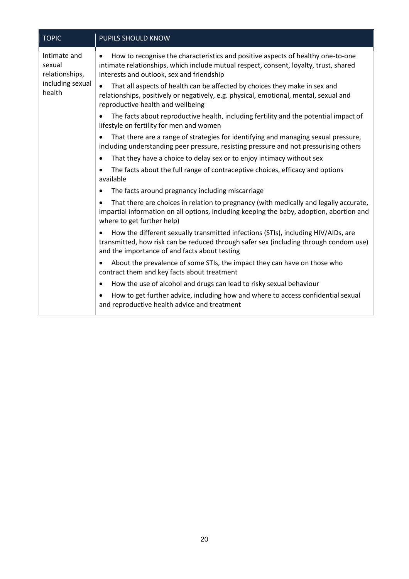| <b>TOPIC</b>                                                           | PUPILS SHOULD KNOW                                                                                                                                                                                                                 |
|------------------------------------------------------------------------|------------------------------------------------------------------------------------------------------------------------------------------------------------------------------------------------------------------------------------|
| Intimate and<br>sexual<br>relationships,<br>including sexual<br>health | How to recognise the characteristics and positive aspects of healthy one-to-one<br>$\bullet$<br>intimate relationships, which include mutual respect, consent, loyalty, trust, shared<br>interests and outlook, sex and friendship |
|                                                                        | That all aspects of health can be affected by choices they make in sex and<br>$\bullet$<br>relationships, positively or negatively, e.g. physical, emotional, mental, sexual and<br>reproductive health and wellbeing              |
|                                                                        | The facts about reproductive health, including fertility and the potential impact of<br>lifestyle on fertility for men and women                                                                                                   |
|                                                                        | That there are a range of strategies for identifying and managing sexual pressure,<br>including understanding peer pressure, resisting pressure and not pressurising others                                                        |
|                                                                        | That they have a choice to delay sex or to enjoy intimacy without sex<br>$\bullet$                                                                                                                                                 |
|                                                                        | The facts about the full range of contraceptive choices, efficacy and options<br>available                                                                                                                                         |
|                                                                        | The facts around pregnancy including miscarriage<br>٠                                                                                                                                                                              |
|                                                                        | That there are choices in relation to pregnancy (with medically and legally accurate,<br>impartial information on all options, including keeping the baby, adoption, abortion and<br>where to get further help)                    |
|                                                                        | How the different sexually transmitted infections (STIs), including HIV/AIDs, are<br>transmitted, how risk can be reduced through safer sex (including through condom use)<br>and the importance of and facts about testing        |
|                                                                        | About the prevalence of some STIs, the impact they can have on those who<br>contract them and key facts about treatment                                                                                                            |
|                                                                        | How the use of alcohol and drugs can lead to risky sexual behaviour<br>$\bullet$                                                                                                                                                   |
|                                                                        | How to get further advice, including how and where to access confidential sexual<br>and reproductive health advice and treatment                                                                                                   |